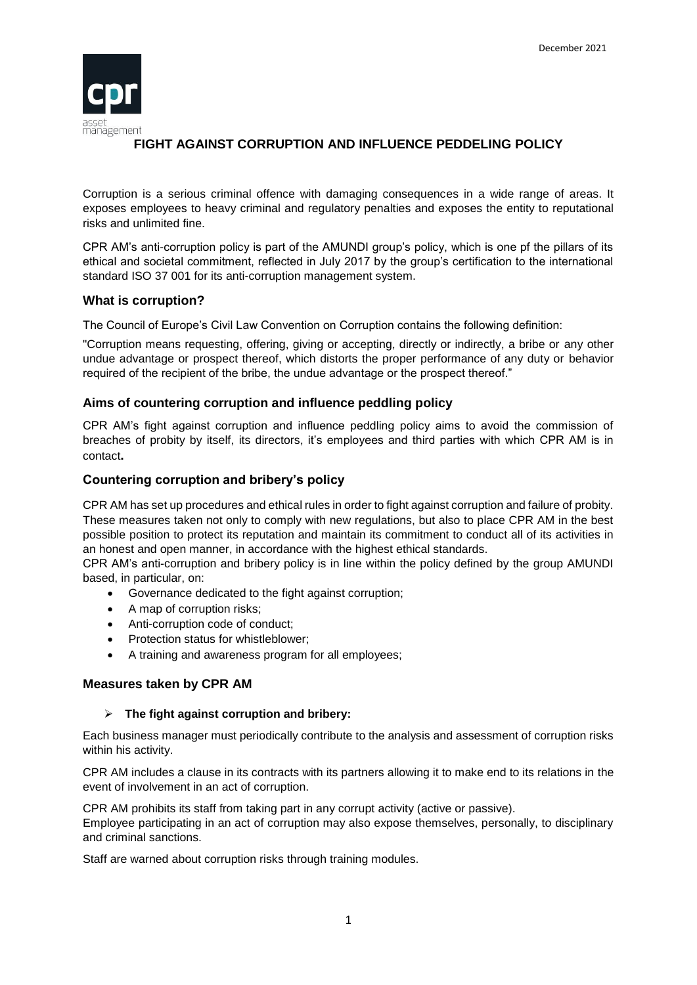

# **FIGHT AGAINST CORRUPTION AND INFLUENCE PEDDELING POLICY**

Corruption is a serious criminal offence with damaging consequences in a wide range of areas. It exposes employees to heavy criminal and regulatory penalties and exposes the entity to reputational risks and unlimited fine.

CPR AM's anti-corruption policy is part of the AMUNDI group's policy, which is one pf the pillars of its ethical and societal commitment, reflected in July 2017 by the group's certification to the international standard ISO 37 001 for its anti-corruption management system.

# **What is corruption?**

The Council of Europe's Civil Law Convention on Corruption contains the following definition:

"Corruption means requesting, offering, giving or accepting, directly or indirectly, a bribe or any other undue advantage or prospect thereof, which distorts the proper performance of any duty or behavior required of the recipient of the bribe, the undue advantage or the prospect thereof."

### **Aims of countering corruption and influence peddling policy**

CPR AM's fight against corruption and influence peddling policy aims to avoid the commission of breaches of probity by itself, its directors, it's employees and third parties with which CPR AM is in contact**.**

### **Countering corruption and bribery's policy**

CPR AM has set up procedures and ethical rules in order to fight against corruption and failure of probity. These measures taken not only to comply with new regulations, but also to place CPR AM in the best possible position to protect its reputation and maintain its commitment to conduct all of its activities in an honest and open manner, in accordance with the highest ethical standards.

CPR AM's anti-corruption and bribery policy is in line within the policy defined by the group AMUNDI based, in particular, on:

- Governance dedicated to the fight against corruption;
- A map of corruption risks;
- Anti-corruption code of conduct:
- Protection status for whistleblower;
- A training and awareness program for all employees;

### **Measures taken by CPR AM**

### **The fight against corruption and bribery:**

Each business manager must periodically contribute to the analysis and assessment of corruption risks within his activity.

CPR AM includes a clause in its contracts with its partners allowing it to make end to its relations in the event of involvement in an act of corruption.

CPR AM prohibits its staff from taking part in any corrupt activity (active or passive). Employee participating in an act of corruption may also expose themselves, personally, to disciplinary and criminal sanctions.

Staff are warned about corruption risks through training modules.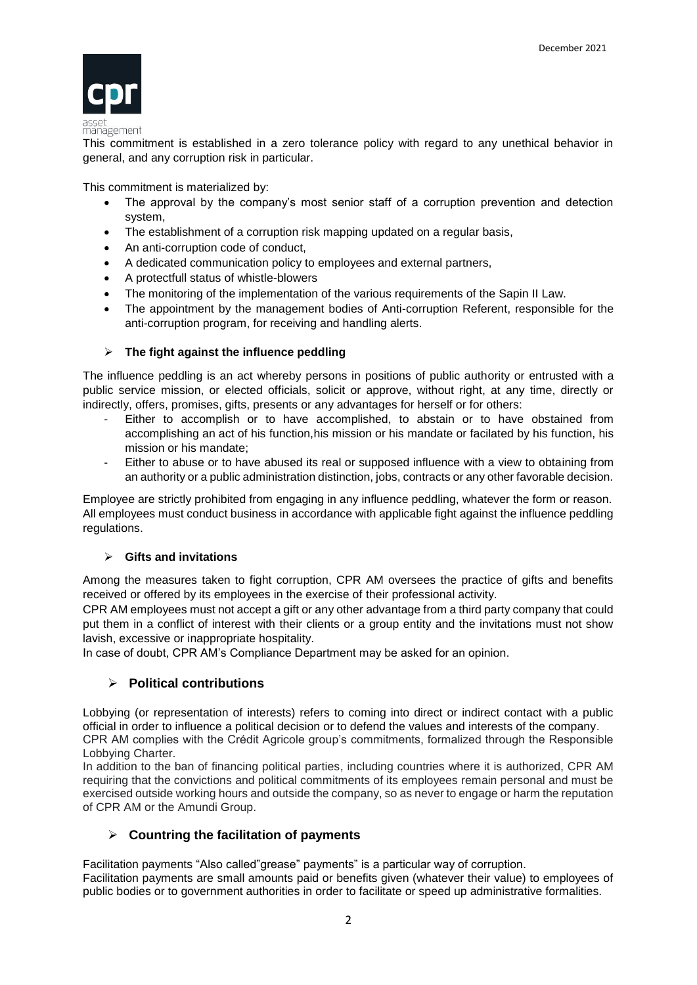

#### management

This commitment is established in a zero tolerance policy with regard to any unethical behavior in general, and any corruption risk in particular.

This commitment is materialized by:

- The approval by the company's most senior staff of a corruption prevention and detection system,
- The establishment of a corruption risk mapping updated on a regular basis,
- An anti-corruption code of conduct,
- A dedicated communication policy to employees and external partners,
- A protectfull status of whistle-blowers
- The monitoring of the implementation of the various requirements of the Sapin II Law.
- The appointment by the management bodies of Anti-corruption Referent, responsible for the anti-corruption program, for receiving and handling alerts.

### **The fight against the influence peddling**

The influence peddling is an act whereby persons in positions of public authority or entrusted with a public service mission, or elected officials, solicit or approve, without right, at any time, directly or indirectly, offers, promises, gifts, presents or any advantages for herself or for others:

- Either to accomplish or to have accomplished, to abstain or to have obstained from accomplishing an act of his function, his mission or his mandate or facilated by his function, his mission or his mandate;
- Either to abuse or to have abused its real or supposed influence with a view to obtaining from an authority or a public administration distinction, jobs, contracts or any other favorable decision.

Employee are strictly prohibited from engaging in any influence peddling, whatever the form or reason. All employees must conduct business in accordance with applicable fight against the influence peddling regulations.

### **Gifts and invitations**

Among the measures taken to fight corruption, CPR AM oversees the practice of gifts and benefits received or offered by its employees in the exercise of their professional activity.

CPR AM employees must not accept a gift or any other advantage from a third party company that could put them in a conflict of interest with their clients or a group entity and the invitations must not show lavish, excessive or inappropriate hospitality.

In case of doubt, CPR AM's Compliance Department may be asked for an opinion.

# **Political contributions**

Lobbying (or representation of interests) refers to coming into direct or indirect contact with a public official in order to influence a political decision or to defend the values and interests of the company. CPR AM complies with the Crédit Agricole group's commitments, formalized through the Responsible Lobbying Charter.

In addition to the ban of financing political parties, including countries where it is authorized, CPR AM requiring that the convictions and political commitments of its employees remain personal and must be exercised outside working hours and outside the company, so as never to engage or harm the reputation of CPR AM or the Amundi Group.

# **Countring the facilitation of payments**

Facilitation payments "Also called"grease" payments" is a particular way of corruption. Facilitation payments are small amounts paid or benefits given (whatever their value) to employees of public bodies or to government authorities in order to facilitate or speed up administrative formalities.